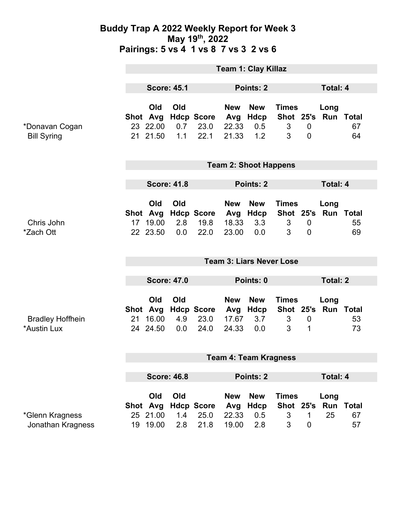### **Buddy Trap A 2022 Weekly Report for Week 3 May 19th, 2022 Pairings: 5 vs 4 1 vs 8 7 vs 3 2 vs 6**

|                                        | <b>Team 1: Clay Killaz</b>      |                                         |                   |                                   |                                     |                                  |                                     |                               |                             |                          |
|----------------------------------------|---------------------------------|-----------------------------------------|-------------------|-----------------------------------|-------------------------------------|----------------------------------|-------------------------------------|-------------------------------|-----------------------------|--------------------------|
|                                        | <b>Score: 45.1</b>              |                                         | Points: 2         |                                   |                                     | Total: 4                         |                                     |                               |                             |                          |
| *Donavan Cogan<br><b>Bill Syring</b>   |                                 | Old<br>Shot Avg<br>23 22.00<br>21 21.50 | Old<br>0.7<br>1.1 | <b>Hdcp Score</b><br>23.0<br>22.1 | <b>New</b><br>Avg<br>22.33<br>21.33 | <b>New</b><br>Hdcp<br>0.5<br>1.2 | <b>Times</b><br>3<br>3              | $\mathbf 0$<br>$\overline{0}$ | Long<br>Shot 25's Run Total | 67<br>64                 |
|                                        | <b>Team 2: Shoot Happens</b>    |                                         |                   |                                   |                                     |                                  |                                     |                               |                             |                          |
|                                        | <b>Score: 41.8</b>              |                                         |                   | Points: 2                         |                                     |                                  |                                     | <b>Total: 4</b>               |                             |                          |
| Chris John<br>*Zach Ott                |                                 | Old<br>Shot Avg<br>17 19.00<br>22 23.50 | Old<br>2.8<br>0.0 | <b>Hdcp Score</b><br>19.8<br>22.0 | <b>New</b><br>Avg<br>18.33<br>23.00 | <b>New</b><br>Hdcp<br>3.3<br>0.0 | <b>Times</b><br>$\mathfrak{S}$<br>3 | $\mathbf 0$<br>$\mathbf{0}$   | Long<br>Shot 25's Run Total | 55<br>69                 |
|                                        | <b>Team 3: Liars Never Lose</b> |                                         |                   |                                   |                                     |                                  |                                     |                               |                             |                          |
|                                        | <b>Score: 47.0</b>              |                                         |                   |                                   | Points: 0                           |                                  |                                     |                               | <b>Total: 2</b>             |                          |
| <b>Bradley Hoffhein</b><br>*Austin Lux | 21                              | Old<br>Shot Avg<br>16.00<br>24 24.50    | Old<br>4.9<br>0.0 | <b>Hdcp Score</b><br>23.0<br>24.0 | <b>New</b><br>Avg<br>17.67<br>24.33 | <b>New</b><br>Hdcp<br>3.7<br>0.0 | <b>Times</b><br>3<br>3              | $\mathbf 0$<br>1              | Long<br>Shot 25's Run Total | 53<br>73                 |
|                                        | <b>Team 4: Team Kragness</b>    |                                         |                   |                                   |                                     |                                  |                                     |                               |                             |                          |
|                                        | <b>Score: 46.8</b>              |                                         |                   | Points: 2                         |                                     |                                  | Total: 4                            |                               |                             |                          |
| *Glenn Kragness<br>Jonathan Kragness   |                                 | Old<br>Shot Avg<br>25 21.00<br>19 19.00 | Old<br>1.4<br>2.8 | <b>Hdcp Score</b><br>25.0<br>21.8 | <b>New</b><br>Avg<br>22.33<br>19.00 | <b>New</b><br>Hdcp<br>0.5<br>2.8 | <b>Times</b><br>Shot 25's<br>3<br>3 | 1<br>$\mathbf 0$              | Long<br>Run<br>25           | <b>Total</b><br>67<br>57 |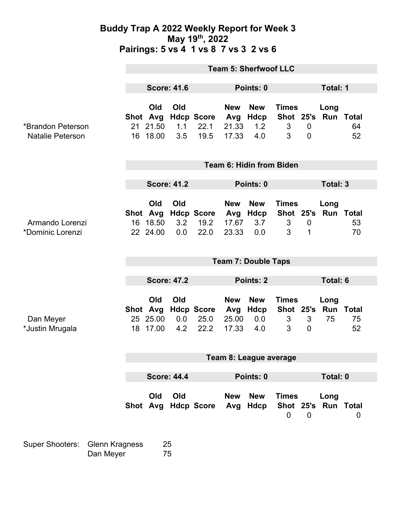### **Buddy Trap A 2022 Weekly Report for Week 3 May 19th, 2022 Pairings: 5 vs 4 1 vs 8 7 vs 3 2 vs 6**

|                                              | <b>Team 5: Sherfwoof LLC</b> |                                         |                   |                                   |                                     |                                      |                                     |                               |                                |              |  |
|----------------------------------------------|------------------------------|-----------------------------------------|-------------------|-----------------------------------|-------------------------------------|--------------------------------------|-------------------------------------|-------------------------------|--------------------------------|--------------|--|
|                                              | <b>Score: 41.6</b>           |                                         |                   | Points: 0                         |                                     |                                      |                                     | <b>Total: 1</b>               |                                |              |  |
| *Brandon Peterson<br><b>Natalie Peterson</b> |                              | Old<br>Shot Avg<br>21 21.50<br>16 18.00 | Old<br>1.1<br>3.5 | <b>Hdcp Score</b><br>22.1<br>19.5 | <b>New</b><br>Avg<br>21.33<br>17.33 | <b>New</b><br>Hdcp<br>1.2<br>4.0     | <b>Times</b><br>3<br>3              | $\mathbf 0$<br>$\overline{0}$ | Long<br>Shot 25's Run Total    | 64<br>52     |  |
|                                              | Team 6: Hidin from Biden     |                                         |                   |                                   |                                     |                                      |                                     |                               |                                |              |  |
|                                              | <b>Score: 41.2</b>           |                                         |                   |                                   |                                     | Points: 0                            |                                     |                               |                                | Total: 3     |  |
| Armando Lorenzi<br>*Dominic Lorenzi          | 16                           | Old<br>Shot Avg<br>18.50<br>22 24.00    | Old<br>3.2<br>0.0 | <b>Hdcp Score</b><br>19.2<br>22.0 | <b>New</b><br>17.67<br>23.33        | <b>New</b><br>Avg Hdcp<br>3.7<br>0.0 | <b>Times</b><br>Shot 25's<br>3<br>3 | $\mathbf 0$<br>1              | Long<br><b>Run Total</b>       | 53<br>70     |  |
|                                              | <b>Team 7: Double Taps</b>   |                                         |                   |                                   |                                     |                                      |                                     |                               |                                |              |  |
|                                              | <b>Score: 47.2</b>           |                                         |                   | Points: 2                         |                                     |                                      |                                     | <b>Total: 6</b>               |                                |              |  |
| Dan Meyer<br>*Justin Mrugala                 | 18                           | Old<br>Shot Avg<br>25 25.00<br>17.00    | Old<br>0.0<br>4.2 | <b>Hdcp Score</b><br>25.0<br>22.2 | <b>New</b><br>Avg<br>25.00<br>17.33 | <b>New</b><br>Hdcp<br>0.0<br>4.0     | <b>Times</b><br>Shot 25's<br>3<br>3 | 3<br>$\mathbf 0$              | Long<br><b>Run Total</b><br>75 | 75<br>52     |  |
|                                              | Team 8: League average       |                                         |                   |                                   |                                     |                                      |                                     |                               |                                |              |  |
|                                              | <b>Score: 44.4</b>           |                                         |                   | Points: 0                         |                                     |                                      |                                     | <b>Total: 0</b>               |                                |              |  |
|                                              |                              | Old<br>Shot Avg                         | Old               | <b>Hdcp Score</b>                 | <b>New</b><br>Avg                   | <b>New</b><br>Hdcp                   | <b>Times</b><br>$\mathbf 0$         | $\overline{0}$                | Long<br>Shot 25's Run Total    | $\mathbf{0}$ |  |

Super Shooters: Glenn Kragness 25 Dan Meyer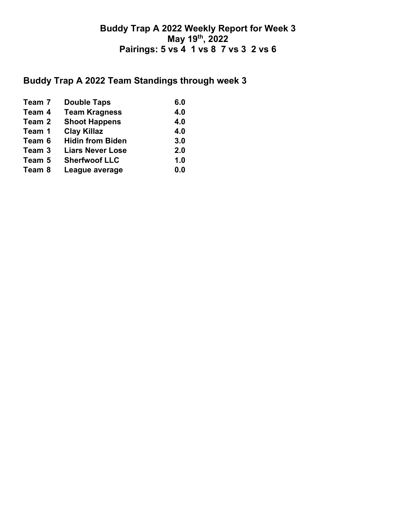### **Buddy Trap A 2022 Weekly Report for Week 3 May 19th, 2022 Pairings: 5 vs 4 1 vs 8 7 vs 3 2 vs 6**

# **Buddy Trap A 2022 Team Standings through week 3**

| Team 7 | <b>Double Taps</b>      | 6.0 |
|--------|-------------------------|-----|
| Team 4 | <b>Team Kragness</b>    | 4.0 |
| Team 2 | <b>Shoot Happens</b>    | 4.0 |
| Team 1 | <b>Clay Killaz</b>      | 4.0 |
| Team 6 | <b>Hidin from Biden</b> | 3.0 |
| Team 3 | <b>Liars Never Lose</b> | 2.0 |
| Team 5 | <b>Sherfwoof LLC</b>    | 1.0 |
| Team 8 | League average          | 0.0 |